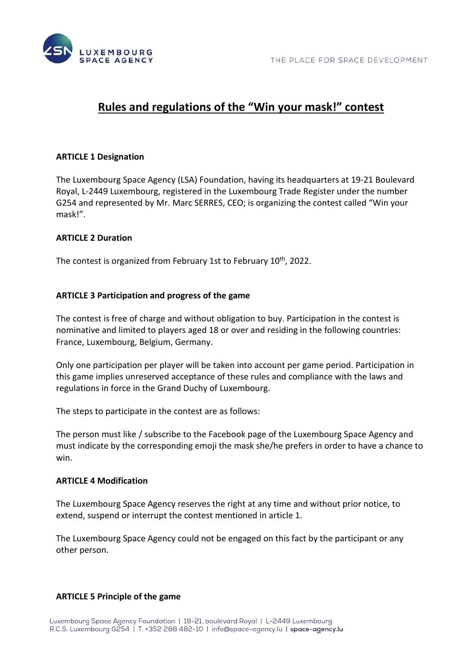

# **Rules and regulations of the "Win your mask!" contest**

## **ARTICLE 1 Designation**

The Luxembourg Space Agency (LSA) Foundation, having its headquarters at 19-21 Boulevard Royal, L-2449 Luxembourg, registered in the Luxembourg Trade Register under the number G254 and represented by Mr. Marc SERRES, CEO; is organizing the contest called "Win your mask!".

## **ARTICLE 2 Duration**

The contest is organized from February 1st to February 10<sup>th</sup>, 2022.

## **ARTICLE 3 Participation and progress of the game**

The contest is free of charge and without obligation to buy. Participation in the contest is nominative and limited to players aged 18 or over and residing in the following countries: France, Luxembourg, Belgium, Germany.

Only one participation per player will be taken into account per game period. Participation in this game implies unreserved acceptance of these rules and compliance with the laws and regulations in force in the Grand Duchy of Luxembourg.

The steps to participate in the contest are as follows:

The person must like / subscribe to the Facebook page of the Luxembourg Space Agency and must indicate by the corresponding emoji the mask she/he prefers in order to have a chance to win.

### **ARTICLE 4 Modification**

The Luxembourg Space Agency reserves the right at any time and without prior notice, to extend, suspend or interrupt the contest mentioned in article 1.

The Luxembourg Space Agency could not be engaged on this fact by the participant or any other person.

### **ARTICLE 5 Principle of the game**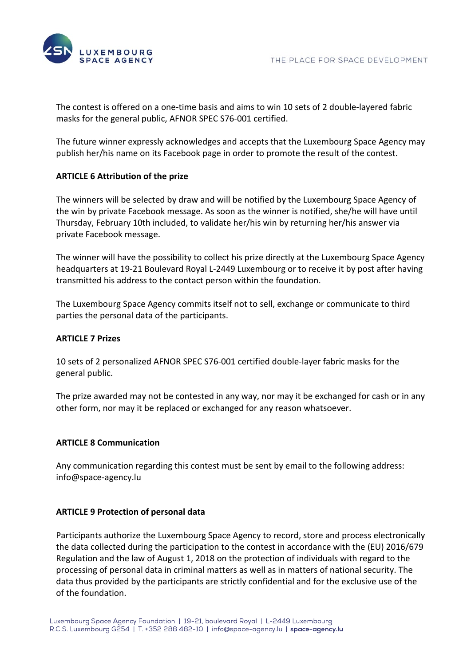

The contest is offered on a one-time basis and aims to win 10 sets of 2 double-layered fabric masks for the general public, AFNOR SPEC S76-001 certified.

The future winner expressly acknowledges and accepts that the Luxembourg Space Agency may publish her/his name on its Facebook page in order to promote the result of the contest.

# **ARTICLE 6 Attribution of the prize**

The winners will be selected by draw and will be notified by the Luxembourg Space Agency of the win by private Facebook message. As soon as the winner is notified, she/he will have until Thursday, February 10th included, to validate her/his win by returning her/his answer via private Facebook message.

The winner will have the possibility to collect his prize directly at the Luxembourg Space Agency headquarters at 19-21 Boulevard Royal L-2449 Luxembourg or to receive it by post after having transmitted his address to the contact person within the foundation.

The Luxembourg Space Agency commits itself not to sell, exchange or communicate to third parties the personal data of the participants.

## **ARTICLE 7 Prizes**

10 sets of 2 personalized AFNOR SPEC S76-001 certified double-layer fabric masks for the general public.

The prize awarded may not be contested in any way, nor may it be exchanged for cash or in any other form, nor may it be replaced or exchanged for any reason whatsoever.

## **ARTICLE 8 Communication**

Any communication regarding this contest must be sent by email to the following address: info@space-agency.lu

## **ARTICLE 9 Protection of personal data**

Participants authorize the Luxembourg Space Agency to record, store and process electronically the data collected during the participation to the contest in accordance with the (EU) 2016/679 Regulation and the law of August 1, 2018 on the protection of individuals with regard to the processing of personal data in criminal matters as well as in matters of national security. The data thus provided by the participants are strictly confidential and for the exclusive use of the of the foundation.